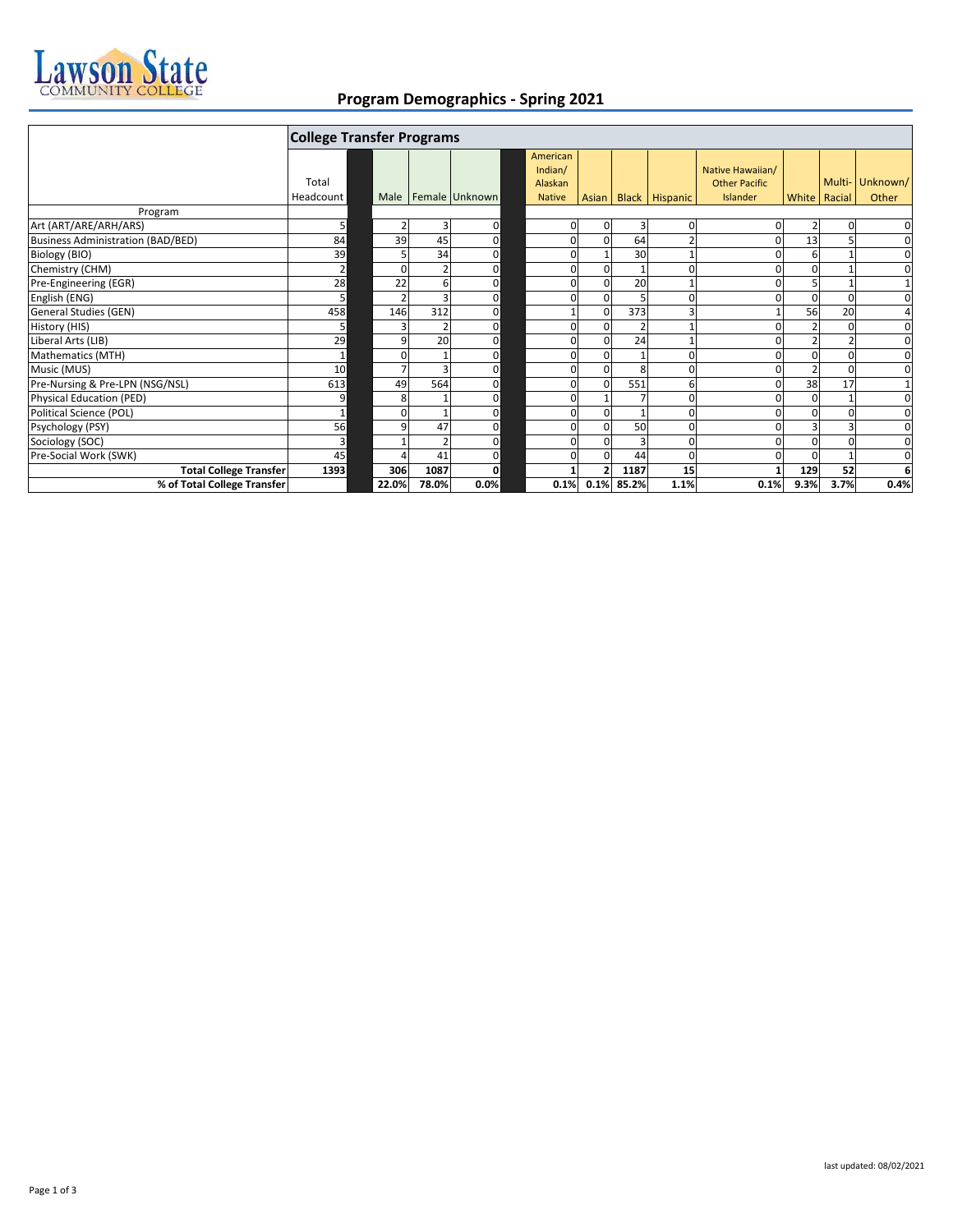

## **Program Demographics - Spring 2021**

|                                          | <b>College Transfer Programs</b> |        |       |                |  |               |              |            |                |                      |                |        |              |
|------------------------------------------|----------------------------------|--------|-------|----------------|--|---------------|--------------|------------|----------------|----------------------|----------------|--------|--------------|
|                                          |                                  |        |       |                |  | American      |              |            |                |                      |                |        |              |
|                                          |                                  |        |       |                |  | Indian/       |              |            |                | Native Hawaiian/     |                |        |              |
|                                          | Total                            |        |       |                |  | Alaskan       |              |            |                | <b>Other Pacific</b> |                | Multi- | Unknown/     |
|                                          | Headcount                        | Male I |       | Female Unknown |  | <b>Native</b> | <b>Asian</b> |            | Black Hispanic | Islander             | White Racial   |        | Other        |
| Program                                  |                                  |        |       |                |  |               |              |            |                |                      |                |        |              |
| Art (ART/ARE/ARH/ARS)                    | 5                                |        | 3     | 0              |  | 0             |              | 3          | 0              |                      | 2              |        | 0            |
| <b>Business Administration (BAD/BED)</b> | 84                               | 39     | 45    | 0              |  | 0             |              | 64         |                |                      | 13             | 5      | 0            |
| Biology (BIO)                            | 39                               |        | 34    | 0              |  | 0             |              | 30         |                |                      | 6              |        | 0            |
| Chemistry (CHM)                          | $\overline{2}$                   |        |       | 0              |  | O             |              |            | $\Omega$       |                      | 0              |        | 0            |
| Pre-Engineering (EGR)                    | 28                               | 22     | 6     | 0              |  | 0             |              | 20         |                |                      | 5              |        | $\mathbf{1}$ |
| English (ENG)                            |                                  |        |       | 0              |  | O             |              |            | $\Omega$       | n                    | $\Omega$       | 0      | $\mathbf 0$  |
| General Studies (GEN)                    | 458                              | 146    | 312   | $\mathbf 0$    |  |               |              | 373        | 3              |                      | 56             | 20     | 4            |
| History (HIS)                            | 5                                |        |       | 0              |  | O             |              |            |                |                      |                |        | $\mathbf 0$  |
| Liberal Arts (LIB)                       | 29                               |        | 20    | 0              |  | O             |              | 24         |                |                      |                |        | 0            |
| Mathematics (MTH)                        | $\mathbf 1$                      |        |       | 0              |  | O             |              |            | $\Omega$       |                      | 0              | O      | 0            |
| Music (MUS)                              | 10                               |        |       | $\mathbf 0$    |  | O             |              | 8          | $\Omega$       |                      | $\overline{2}$ | O      | 0            |
| Pre-Nursing & Pre-LPN (NSG/NSL)          | 613                              | 49     | 564   | $\Omega$       |  | O             |              | 551        | 6              |                      | 38             | 17     | $\mathbf{1}$ |
| Physical Education (PED)                 | 9                                |        |       | 0              |  | 0             |              |            | 0              |                      | 0              |        | 0            |
| Political Science (POL)                  | $\mathbf{1}$                     |        |       | 0              |  | 0             |              |            | $\Omega$       |                      | $\Omega$       | O      | 0            |
| Psychology (PSY)                         | 56                               | q      | 47    | 0              |  | $\Omega$      |              | 50         | $\Omega$       |                      | $\overline{3}$ |        | $\mathbf 0$  |
| Sociology (SOC)                          | 3                                |        |       | U              |  | O             |              |            | $\Omega$       |                      | 0              |        | 0            |
| Pre-Social Work (SWK)                    | 45                               |        | 41    | 0              |  | $\Omega$      |              | 44         | $\Omega$       |                      | 0              |        | $\mathbf 0$  |
| <b>Total College Transfer</b>            | 1393                             | 306    | 1087  | 0              |  |               |              | 1187       | 15             |                      | 129            | 52     | 6            |
| % of Total College Transfer              |                                  | 22.0%  | 78.0% | 0.0%           |  | 0.1%          |              | 0.1% 85.2% | 1.1%           | 0.1%                 | 9.3%           | 3.7%   | 0.4%         |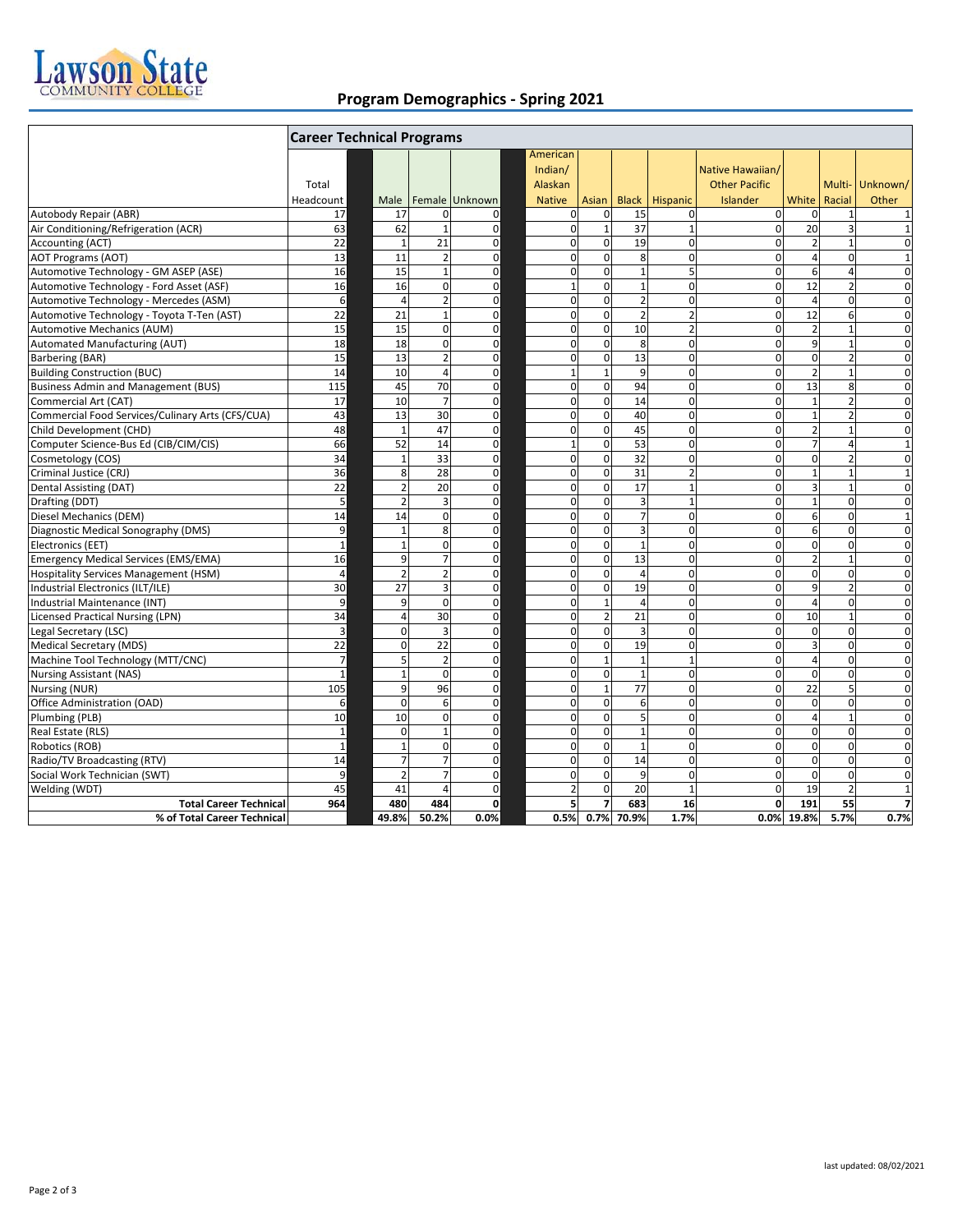

## **Program Demographics - Spring 2021**

|                                                  | <b>Career Technical Programs</b> |  |                |                |                |  |                                                 |                 |                |                |                                                      |                |                  |                   |
|--------------------------------------------------|----------------------------------|--|----------------|----------------|----------------|--|-------------------------------------------------|-----------------|----------------|----------------|------------------------------------------------------|----------------|------------------|-------------------|
|                                                  | Total<br>Headcount               |  | Male           |                | Female Unknown |  | American<br>Indian/<br>Alaskan<br><b>Native</b> | Asian           | <b>Black</b>   | Hispanic       | Native Hawaiian/<br><b>Other Pacific</b><br>Islander | White          | Multi-<br>Racial | Unknown/<br>Other |
| Autobody Repair (ABR)                            | 17                               |  | 17             | $\overline{0}$ | 0              |  | $\mathbf 0$                                     | $\mathbf 0$     | 15             | $\mathbf{0}$   | $\mathbf{0}$                                         | $\mathbf 0$    | $\mathbf{1}$     | $\mathbf{1}$      |
| Air Conditioning/Refrigeration (ACR)             | 63                               |  | 62             | $\mathbf{1}$   | 0              |  | $\mathbf 0$                                     | $\mathbf{1}$    | 37             | $\mathbf{1}$   | $\mathbf{0}$                                         | 20             | 3                | $\mathbf{1}$      |
| <b>Accounting (ACT)</b>                          | $\overline{22}$                  |  | $\overline{1}$ | 21             | $\mathbf 0$    |  | $\mathbf 0$                                     | $\mathbf 0$     | 19             | $\mathbf 0$    | $\mathbf 0$                                          | $\overline{2}$ |                  | $\mathbf 0$       |
| <b>AOT Programs (AOT)</b>                        | 13                               |  | 11             | $\overline{2}$ | 0              |  | $\mathbf 0$                                     | $\mathbf 0$     | 8              | $\mathbf 0$    | $\mathbf{0}$                                         | $\overline{a}$ | $\mathbf 0$      | $\mathbf{1}$      |
| Automotive Technology - GM ASEP (ASE)            | 16                               |  | 15             | $\mathbf{1}$   | $\mathbf 0$    |  | $\mathbf 0$                                     | $\mathbf 0$     | $\mathbf{1}$   | 5              | $\mathbf 0$                                          | 6              | $\overline{4}$   | $\mathbf 0$       |
| Automotive Technology - Ford Asset (ASF)         | 16                               |  | 16             | $\mathbf 0$    | 0              |  | $\mathbf 1$                                     | $\mathbf 0$     | $\mathbf{1}$   | $\mathbf 0$    | $\mathbf{0}$                                         | 12             | $\overline{2}$   | $\mathbf 0$       |
| Automotive Technology - Mercedes (ASM)           | 6                                |  | $\Delta$       | $\overline{2}$ | $\mathbf 0$    |  | $\mathbf 0$                                     | $\mathbf 0$     | $\overline{2}$ | $\mathbf 0$    | $\Omega$                                             | $\overline{4}$ | $\Omega$         | $\mathbf 0$       |
| Automotive Technology - Toyota T-Ten (AST)       | $\overline{22}$                  |  | 21             | $\mathbf{1}$   | $\Omega$       |  | $\mathbf 0$                                     | $\Omega$        | $\overline{2}$ | $\overline{2}$ | $\Omega$                                             | 12             | 6                | $\Omega$          |
| Automotive Mechanics (AUM)                       | 15                               |  | 15             | $\Omega$       | $\mathbf 0$    |  | $\Omega$                                        | $\Omega$        | 10             | $\overline{2}$ | $\Omega$                                             | $\overline{2}$ | $\mathbf{1}$     | $\Omega$          |
| <b>Automated Manufacturing (AUT)</b>             | 18                               |  | 18             | $\Omega$       | $\mathbf 0$    |  | $\Omega$                                        | $\Omega$        | 8              | $\Omega$       | $\Omega$                                             | 9              | $\overline{1}$   | $\Omega$          |
| <b>Barbering (BAR)</b>                           | 15                               |  | 13             | $\overline{2}$ | $\overline{0}$ |  | 0                                               | $\mathbf 0$     | 13             | $\overline{0}$ | $\mathbf 0$                                          | $\mathbf 0$    | $\overline{2}$   | $\overline{0}$    |
| <b>Building Construction (BUC)</b>               | 14                               |  | 10             | 4              | $\mathbf 0$    |  | $\mathbf 1$                                     | $\mathbf{1}$    | 9              | $\mathbf 0$    | $\mathbf 0$                                          | $\overline{2}$ | $\overline{1}$   | 0                 |
| <b>Business Admin and Management (BUS)</b>       | 115                              |  | 45             | 70             | 0              |  | 0                                               | $\mathbf 0$     | 94             | $\pmb{0}$      | 0                                                    | 13             | 8                | $\mathbf 0$       |
| Commercial Art (CAT)                             | 17                               |  | 10             | $\overline{7}$ | 0              |  | $\mathbf 0$                                     | $\mathbf 0$     | 14             | $\pmb{0}$      | $\mathbf 0$                                          | $\mathbf{1}$   | $\overline{2}$   | 0                 |
| Commercial Food Services/Culinary Arts (CFS/CUA) | 43                               |  | 13             | 30             | $\mathbf 0$    |  | 0                                               | $\mathbf{0}$    | 40             | $\mathbf{0}$   | $\mathbf{0}$                                         | $\mathbf{1}$   | $\overline{2}$   | $\mathbf 0$       |
| Child Development (CHD)                          | 48                               |  | $\overline{1}$ | 47             | 0              |  | 0                                               | $\mathbf{0}$    | 45             | $\mathbf 0$    | $\mathbf 0$                                          | $\overline{2}$ | $\mathbf{1}$     | $\mathbf 0$       |
| Computer Science-Bus Ed (CIB/CIM/CIS)            | 66                               |  | 52             | 14             | 0              |  | $\mathbf 1$                                     | $\mathbf 0$     | 53             | $\mathbf{0}$   | $\mathbf{0}$                                         | $\overline{7}$ | $\overline{4}$   | $\mathbf{1}$      |
| Cosmetology (COS)                                | 34                               |  | $\overline{1}$ | 33             | $\mathbf 0$    |  | 0                                               | $\mathbf 0$     | 32             | $\mathbf 0$    | $\mathbf 0$                                          | $\mathbf 0$    | $\overline{2}$   | $\mathbf 0$       |
| Criminal Justice (CRJ)                           | 36                               |  | 8              | 28             | 0              |  | 0                                               | $\mathbf 0$     | 31             | $\overline{2}$ | $\mathbf 0$                                          | $\mathbf{1}$   | $\overline{1}$   | $\mathbf{1}$      |
| Dental Assisting (DAT)                           | $\overline{22}$                  |  | C.             | 20             | $\mathbf 0$    |  | 0                                               | $\mathbf 0$     | 17             | $\overline{1}$ | $\mathbf 0$                                          | 3              | $\overline{1}$   | $\mathbf 0$       |
| Drafting (DDT)                                   | 5                                |  | 2              | 3              | $\mathbf 0$    |  | 0                                               | $\mathbf 0$     | 3              | $\mathbf{1}$   | $\mathbf 0$                                          | $\mathbf{1}$   | $\mathbf 0$      | $\mathbf 0$       |
| Diesel Mechanics (DEM)                           | 14                               |  | 14             | $\Omega$       | $\mathbf 0$    |  | 0                                               | $\Omega$        | $\overline{7}$ | $\mathbf 0$    | 0                                                    | 6              | $\mathbf 0$      | $\mathbf{1}$      |
| Diagnostic Medical Sonography (DMS)              | 9                                |  | $\overline{1}$ | 8              | 0              |  | 0                                               | $\mathbf 0$     | 3              | $\Omega$       | $\Omega$                                             | 6              | $\Omega$         | $\Omega$          |
| Electronics (EET)                                | $\mathbf{1}$                     |  | $\overline{1}$ | $\Omega$       | $\mathbf 0$    |  | $\mathbf 0$                                     | $\Omega$        | $\mathbf{1}$   | $\Omega$       | $\Omega$                                             | $\mathbf 0$    | $\Omega$         | $\Omega$          |
| <b>Emergency Medical Services (EMS/EMA)</b>      | 16                               |  | $\mathbf{q}$   |                | 0              |  | $\overline{0}$                                  | $\Omega$        | 13             | $\Omega$       | $\Omega$                                             | $\overline{2}$ | $\overline{1}$   | $\Omega$          |
| <b>Hospitality Services Management (HSM)</b>     | $\overline{4}$                   |  | $\overline{z}$ | $\overline{2}$ | $\mathbf 0$    |  | $\mathbf 0$                                     | $\mathbf 0$     | $\overline{a}$ | $\Omega$       | $\mathbf 0$                                          | $\mathbf 0$    | $\mathbf 0$      | $\mathbf 0$       |
| Industrial Electronics (ILT/ILE)                 | 30                               |  | 27             | 3              | $\mathbf 0$    |  | 0                                               | $\mathbf 0$     | 19             | $\pmb{0}$      | $\mathbf 0$                                          | 9              | $\overline{2}$   | $\mathbf 0$       |
| Industrial Maintenance (INT)                     | 9                                |  | 9              | $\mathbf 0$    | 0              |  | $\mathbf 0$                                     | $1\overline{ }$ | $\overline{4}$ | $\pmb{0}$      | 0                                                    | $\overline{4}$ | $\mathbf 0$      | $\mathbf 0$       |
| <b>Licensed Practical Nursing (LPN)</b>          | 34                               |  | $\Delta$       | 30             | $\mathbf 0$    |  | $\mathbf 0$                                     | $\overline{2}$  | 21             | $\mathbf 0$    | $\mathbf{0}$                                         | 10             | $\overline{1}$   | $\mathbf 0$       |
| Legal Secretary (LSC)                            | 3                                |  | $\Omega$       | 3              | 0              |  | $\mathbf 0$                                     | $\mathbf 0$     | 3              | $\mathbf 0$    | $\mathbf 0$                                          | $\mathbf 0$    | $\mathbf 0$      | $\mathbf 0$       |
| Medical Secretary (MDS)                          | $\overline{22}$                  |  | $\Omega$       | 22             | $\mathbf 0$    |  | $\mathbf 0$                                     | $\mathbf 0$     | 19             | $\mathbf 0$    | $\mathbf 0$                                          | 3              | $\mathbf 0$      | $\mathbf 0$       |
| Machine Tool Technology (MTT/CNC)                | $\overline{7}$                   |  | 5              | $\overline{2}$ | 0              |  | 0                                               | $1\overline{ }$ | $\mathbf{1}$   | $\mathbf{1}$   | $\mathbf 0$                                          | $\overline{4}$ | $\mathbf 0$      | 0                 |
| <b>Nursing Assistant (NAS)</b>                   | $\mathbf{1}$                     |  |                | $\Omega$       | $\mathbf 0$    |  | $\mathbf 0$                                     | $\mathbf 0$     | $\mathbf{1}$   | $\mathbf 0$    | $\mathbf 0$                                          | $\mathbf 0$    | $\mathbf 0$      | $\mathbf 0$       |
| Nursing (NUR)                                    | 105                              |  | q              | 96             | 0              |  | 0                                               | $\mathbf{1}$    | 77             | $\mathbf 0$    | $\mathbf 0$                                          | 22             | 5                | $\mathbf 0$       |
| Office Administration (OAD)                      | 6                                |  | $\Omega$       | 6              | $\mathbf 0$    |  | $\mathbf 0$                                     | $\mathbf 0$     | 6              | $\mathbf 0$    | 0                                                    | $\mathbf 0$    | $\mathbf 0$      | $\mathbf 0$       |
| Plumbing (PLB)                                   | 10                               |  | 10             | $\Omega$       | $\mathbf 0$    |  | 0                                               | $\mathbf 0$     | 5              | $\mathbf 0$    | 0                                                    | $\overline{4}$ | $\overline{1}$   | $\mathbf 0$       |
| Real Estate (RLS)                                | $\mathbf 1$                      |  | $\Omega$       | 1              | $\mathbf 0$    |  | $\mathbf 0$                                     | $\Omega$        | 1              | $\Omega$       | $\Omega$                                             | $\mathbf 0$    | $\Omega$         | $\Omega$          |
| Robotics (ROB)                                   | $\mathbf{1}$                     |  | $\overline{1}$ | $\Omega$       | $\mathbf 0$    |  | 0                                               | $\Omega$        | $\mathbf{1}$   | $\Omega$       | $\mathbf 0$                                          | $\mathbf 0$    | $\Omega$         | $\mathbf 0$       |
| Radio/TV Broadcasting (RTV)                      | 14                               |  |                |                | 0              |  | $\mathbf 0$                                     | $\mathbf 0$     | 14             | $\Omega$       | $\Omega$                                             | $\mathbf 0$    | $\Omega$         | $\Omega$          |
| Social Work Technician (SWT)                     | 9                                |  | $\overline{2}$ | $\overline{7}$ | $\mathbf 0$    |  | $\mathbf 0$                                     | $\mathbf 0$     | 9              | $\mathbf 0$    | 0                                                    | $\mathbf 0$    | $\mathbf 0$      | $\mathbf 0$       |
| Welding (WDT)                                    | 45                               |  | 41             | 4              | $\mathbf 0$    |  | $\overline{2}$                                  | $\Omega$        | 20             | $\mathbf{1}$   | $\mathbf 0$                                          | 19             | $\overline{2}$   | $\mathbf{1}$      |
| <b>Total Career Technical</b>                    | 964                              |  | 480            | 484            | $\mathbf{0}$   |  | 5                                               | $\overline{7}$  | 683            | 16             | 0                                                    | 191            | 55               | $\overline{7}$    |
| % of Total Career Technical                      |                                  |  | 49.8%          | 50.2%          | 0.0%           |  | 0.5%                                            |                 | 0.7% 70.9%     | 1.7%           |                                                      | 0.0% 19.8%     | 5.7%             | 0.7%              |